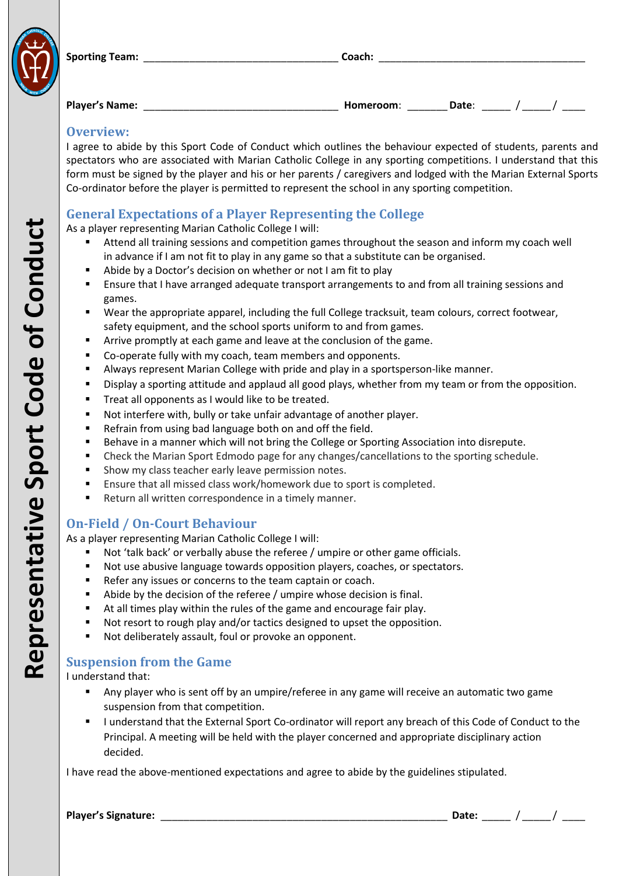

| <b>Sporting Team:</b> | . nach. |  |
|-----------------------|---------|--|
|                       |         |  |

| <b>Player's Name:</b> | <b>Homeroom</b> |  |  |  |
|-----------------------|-----------------|--|--|--|
|                       |                 |  |  |  |

#### **Overview:**

I agree to abide by this Sport Code of Conduct which outlines the behaviour expected of students, parents and spectators who are associated with Marian Catholic College in any sporting competition s . I understand that this form must be signed by the player and his or her parents / caregivers and lodged with the Marian External Sports Co -ordinator before the player is permitted to represent the school in any sporting competition .

## **General Expectations of a Player Representing the College**

As a player representing Marian Catholic College I will:

- Attend all training sessions and competition games throughout the season and inform my coach well in advance if I am not fit to play in any game so that a substitute can be organised.
- Abide by a Doctor's decision on whether or not I am fit to play
- Ensure that I have arranged adequate transport arrangements to and from all training sessions and games.
- Wear the appropriate apparel, including the full College tracksuit, team colours, correct footwear, safety equipment, and the school sports uniform to and from games.
- **F** Arrive promptly at each game and leave at the conclusion of the game.
- Co-operate fully with my coach, team members and opponents.
- Always represent Marian College with pride and play in a sportsperson -like manner.
- Display a sporting attitude and applaud all good plays, whether from my team or from the opposition.
- **Treat all opponents as I would like to be treated.**
- Not interfere with, bully or take unfair advantage of another player.
- Refrain from using bad language both on and off the field.
- **Behave in a manner which will not bring the College or Sporting Association into disrepute.**
- Check the Marian Sport Edmodo page for any changes/cancellations to the sporting schedule.
- Show my class teacher early leave permission notes.
- Ensure that all missed class work/homework due to sport is completed.
- Return all written correspondence in a timely manner.

### **On -Field / On - Court Behaviour**

As a player representing Marian Catholic College I will:

- Not 'talk back' or verbally abuse the referee / umpire or other game officials.
- Not use abusive language towards opposition players, coaches, or spectators.
- Refer any issues or concerns to the team captain or coach.
- Abide by the decision of the referee / umpire whose decision is final.
- At all times play within the rules of the game and encourage fair play.
- Not resort to rough play and/or tactics designed to upset the opposition.
- Not deliberately assault, foul or provoke an opponent.

### **Suspension from the Game**

I understand that:

- Any player who is sent off by an umpire/referee in any game will receive an automatic two game suspension from that competition.
- " I understand that the External Sport Co-ordinator will report any breach of this Code of Conduct to the Principal. A meeting will be held with the player concerned and appropriate disciplinary action decided.

I have read the above-mentioned expectations and agree to abide by the guidelines stipulated.

| <b>Player's Signature:</b> | . |  |  |
|----------------------------|---|--|--|
|                            |   |  |  |

**Representative Sport Code of Conduct** Representative Sport Code of Conduct